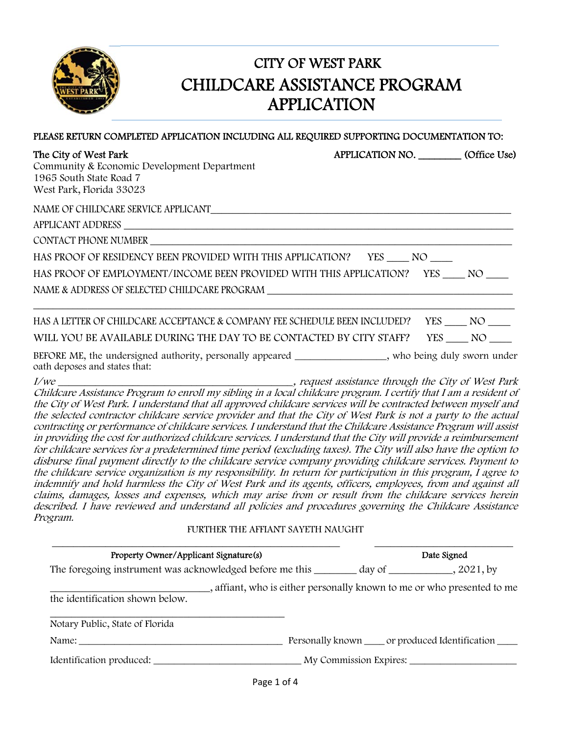

## CITY OF WEST PARK CHILDCARE ASSISTANCE PROGRAM APPLICATION

| The City of West Park<br>Community & Economic Development Department<br>1965 South State Road 7<br>West Park, Florida 33023 | APPLICATION NO. (Office Use) |        |  |  |  |
|-----------------------------------------------------------------------------------------------------------------------------|------------------------------|--------|--|--|--|
|                                                                                                                             |                              |        |  |  |  |
|                                                                                                                             |                              |        |  |  |  |
| CONTACT PHONE NUMBER                                                                                                        |                              |        |  |  |  |
| HAS PROOF OF RESIDENCY BEEN PROVIDED WITH THIS APPLICATION? YES NO                                                          |                              |        |  |  |  |
| HAS PROOF OF EMPLOYMENT/INCOME BEEN PROVIDED WITH THIS APPLICATION? YES NO                                                  |                              |        |  |  |  |
|                                                                                                                             |                              |        |  |  |  |
| HAS A LETTER OF CHILDCARE ACCEPTANCE & COMPANY FEE SCHEDULE BEEN INCLUDED? YES NO                                           |                              |        |  |  |  |
| WILL YOU BE AVAILABLE DURING THE DAY TO BE CONTACTED BY CITY STAFF?                                                         |                              | YES NO |  |  |  |

PLEASE RETURN COMPLETED APPLICATION INCLUDING ALL REQUIRED SUPPORTING DOCUMENTATION TO:

BEFORE ME, the undersigned authority, personally appeared \_\_\_\_\_\_\_\_\_\_\_\_\_\_\_\_, who being duly sworn under oath deposes and states that:

I/we \_\_\_\_\_\_\_\_\_\_\_\_\_\_\_\_\_\_\_\_\_\_\_\_\_\_\_\_\_\_\_\_\_\_\_\_\_\_\_\_\_\_\_\_, request assistance through the City of West Park Childcare Assistance Program to enroll my sibling in a local childcare program. I certify that I am a resident of the City of West Park. I understand that all approved childcare services will be contracted between myself and the selected contractor childcare service provider and that the City of West Park is not a party to the actual contracting or performance of childcare services. I understand that the Childcare Assistance Program will assist in providing the cost for authorized childcare services. I understand that the City will provide a reimbursement for childcare services for a predetermined time period (excluding taxes). The City will also have the option to disburse final payment directly to the childcare service company providing childcare services. Payment to the childcare service organization is my responsibility. In return for participation in this program, I agree to indemnify and hold harmless the City of West Park and its agents, officers, employees, from and against all claims, damages, losses and expenses, which may arise from or result from the childcare services herein described. I have reviewed and understand all policies and procedures governing the Childcare Assistance Program.

#### FURTHER THE AFFIANT SAYETH NAUGHT

| Property Owner/Applicant Signature(s)                              |                                                                         | Date Signed |                                                         |
|--------------------------------------------------------------------|-------------------------------------------------------------------------|-------------|---------------------------------------------------------|
|                                                                    |                                                                         |             |                                                         |
|                                                                    | -, affiant, who is either personally known to me or who presented to me |             |                                                         |
|                                                                    |                                                                         |             |                                                         |
| the identification shown below.<br>Notary Public, State of Florida |                                                                         |             | Personally known _____ or produced Identification _____ |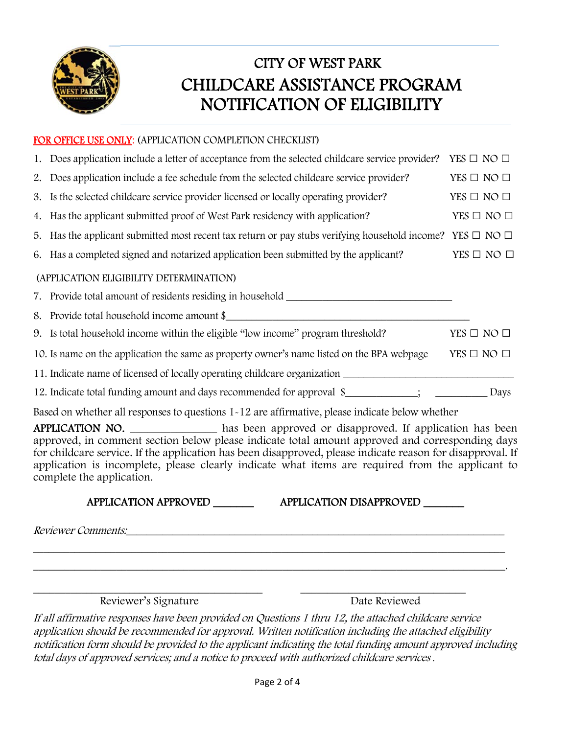

## CITY OF WEST PARK CHILDCARE ASSISTANCE PROGRAM NOTIFICATION OF ELIGIBILITY

### FOR OFFICE USE ONLY: (APPLICATION COMPLETION CHECKLIST)

|    | 1. Does application include a letter of acceptance from the selected childcare service provider?                                                                                                                                                                                                                                                                                                                                          | YES $\Box$ NO $\Box$ |
|----|-------------------------------------------------------------------------------------------------------------------------------------------------------------------------------------------------------------------------------------------------------------------------------------------------------------------------------------------------------------------------------------------------------------------------------------------|----------------------|
| 2. | Does application include a fee schedule from the selected childcare service provider?                                                                                                                                                                                                                                                                                                                                                     | YES $\Box$ NO $\Box$ |
| 3. | Is the selected childcare service provider licensed or locally operating provider?                                                                                                                                                                                                                                                                                                                                                        | YES $\Box$ NO $\Box$ |
|    | 4. Has the applicant submitted proof of West Park residency with application?                                                                                                                                                                                                                                                                                                                                                             | YES $\Box$ NO $\Box$ |
|    | 5. Has the applicant submitted most recent tax return or pay stubs verifying household income? YES $\Box$ NO $\Box$                                                                                                                                                                                                                                                                                                                       |                      |
|    | 6. Has a completed signed and notarized application been submitted by the applicant?                                                                                                                                                                                                                                                                                                                                                      | YES $\Box$ NO $\Box$ |
|    | (APPLICATION ELIGIBILITY DETERMINATION)                                                                                                                                                                                                                                                                                                                                                                                                   |                      |
|    | 7. Provide total amount of residents residing in household _____________________                                                                                                                                                                                                                                                                                                                                                          |                      |
|    | 8. Provide total household income amount \$                                                                                                                                                                                                                                                                                                                                                                                               |                      |
|    | 9. Is total household income within the eligible "low income" program threshold?                                                                                                                                                                                                                                                                                                                                                          | YES $\Box$ NO $\Box$ |
|    | 10. Is name on the application the same as property owner's name listed on the BPA webpage                                                                                                                                                                                                                                                                                                                                                | YES $\Box$ NO $\Box$ |
|    |                                                                                                                                                                                                                                                                                                                                                                                                                                           |                      |
|    | 12. Indicate total funding amount and days recommended for approval \$_________; _____________ Days                                                                                                                                                                                                                                                                                                                                       |                      |
|    | Based on whether all responses to questions 1-12 are affirmative, please indicate below whether                                                                                                                                                                                                                                                                                                                                           |                      |
|    | APPLICATION NO. _____________ has been approved or disapproved. If application has been<br>approved, in comment section below please indicate total amount approved and corresponding days<br>for childcare service. If the application has been disapproved, please indicate reason for disapproval. If<br>application is incomplete, please clearly indicate what items are required from the applicant to<br>complete the application. |                      |
|    | APPLICATION APPROVED<br>APPLICATION DISAPPROVED _______                                                                                                                                                                                                                                                                                                                                                                                   |                      |
|    | Reviewer Comments:                                                                                                                                                                                                                                                                                                                                                                                                                        |                      |

Reviewer's Signature Date Reviewed

If all affirmative responses have been provided on Questions 1 thru 12, the attached childcare service application should be recommended for approval. Written notification including the attached eligibility notification form should be provided to the applicant indicating the total funding amount approved including total days of approved services; and a notice to proceed with authorized childcare services .

\_\_\_\_\_\_\_\_\_\_\_\_\_\_\_\_\_\_\_\_\_\_\_\_\_\_\_\_\_\_\_\_\_\_\_\_\_\_\_\_\_\_\_\_\_\_\_\_\_\_\_\_\_\_\_\_\_\_\_\_\_\_\_\_\_\_\_\_\_\_\_\_\_\_\_\_\_\_\_\_\_\_\_\_\_\_\_\_\_\_\_.

\_\_\_\_\_\_\_\_\_\_\_\_\_\_\_\_\_\_\_\_\_\_\_\_\_\_\_\_\_\_\_\_\_\_\_\_\_\_\_\_\_\_\_ \_\_\_\_\_\_\_\_\_\_\_\_\_\_\_\_\_\_\_\_\_\_\_\_\_\_\_\_\_\_\_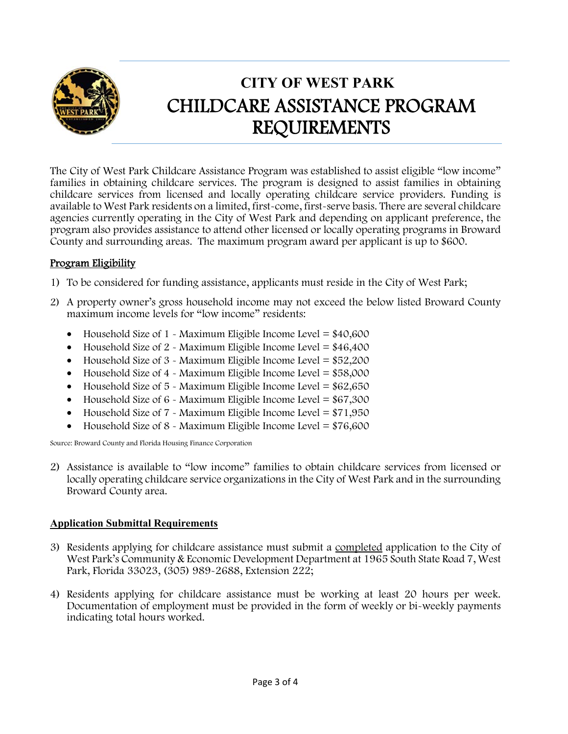

# **CITY OF WEST PARK**  CHILDCARE ASSISTANCE PROGRAM REQUIREMENTS

The City of West Park Childcare Assistance Program was established to assist eligible "low income" families in obtaining childcare services. The program is designed to assist families in obtaining childcare services from licensed and locally operating childcare service providers. Funding is available to West Park residents on a limited, first-come, first-serve basis. There are several childcare agencies currently operating in the City of West Park and depending on applicant preference, the program also provides assistance to attend other licensed or locally operating programs in Broward County and surrounding areas. The maximum program award per applicant is up to \$600.

### Program Eligibility

- 1) To be considered for funding assistance, applicants must reside in the City of West Park;
- 2) A property owner's gross household income may not exceed the below listed Broward County maximum income levels for "low income" residents:
	- $\bullet$  Household Size of 1 Maximum Eligible Income Level = \$40,600
	- Household Size of  $2 \text{ -}$  Maximum Eligible Income Level = \$46,400
	- Household Size of  $3$  Maximum Eligible Income Level =  $$52,200$
	- $\bullet$  Household Size of 4 Maximum Eligible Income Level = \$58,000
	- Household Size of 5 Maximum Eligible Income Level = \$62,650
	- Household Size of  $6$  Maximum Eligible Income Level =  $$67,300$
	- Household Size of  $7 \text{ -}$  Maximum Eligible Income Level = \$71,950
	- Household Size of 8 Maximum Eligible Income Level = \$76,600

Source: Broward County and Florida Housing Finance Corporation

2) Assistance is available to "low income" families to obtain childcare services from licensed or locally operating childcare service organizations in the City of West Park and in the surrounding Broward County area.

#### **Application Submittal Requirements**

- 3) Residents applying for childcare assistance must submit a completed application to the City of West Park's Community & Economic Development Department at 1965 South State Road 7, West Park, Florida 33023, (305) 989-2688, Extension 222;
- 4) Residents applying for childcare assistance must be working at least 20 hours per week. Documentation of employment must be provided in the form of weekly or bi-weekly payments indicating total hours worked.